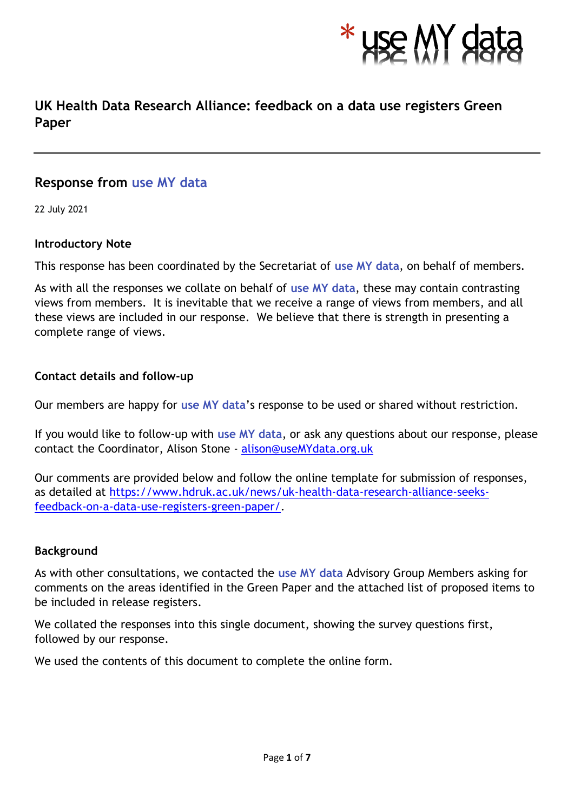

# **UK Health Data Research Alliance: feedback on a data use registers Green Paper**

# **Response from use MY data**

22 July 2021

# **Introductory Note**

This response has been coordinated by the Secretariat of **use MY data**, on behalf of members.

As with all the responses we collate on behalf of **use MY data**, these may contain contrasting views from members. It is inevitable that we receive a range of views from members, and all these views are included in our response. We believe that there is strength in presenting a complete range of views.

# **Contact details and follow-up**

Our members are happy for **use MY data**'s response to be used or shared without restriction.

If you would like to follow-up with **use MY data**, or ask any questions about our response, please contact the Coordinator, Alison Stone - [alison@useMYdata.org.uk](mailto:alison@useMYdata.org.uk)

Our comments are provided below and follow the online template for submission of responses, as detailed at [https://www.hdruk.ac.uk/news/uk-health-data-research-alliance-seeks](https://www.hdruk.ac.uk/news/uk-health-data-research-alliance-seeks-feedback-on-a-data-use-registers-green-paper/)[feedback-on-a-data-use-registers-green-paper/.](https://www.hdruk.ac.uk/news/uk-health-data-research-alliance-seeks-feedback-on-a-data-use-registers-green-paper/)

# **Background**

As with other consultations, we contacted the **use MY data** Advisory Group Members asking for comments on the areas identified in the Green Paper and the attached list of proposed items to be included in release registers.

We collated the responses into this single document, showing the survey questions first, followed by our response.

We used the contents of this document to complete the online form.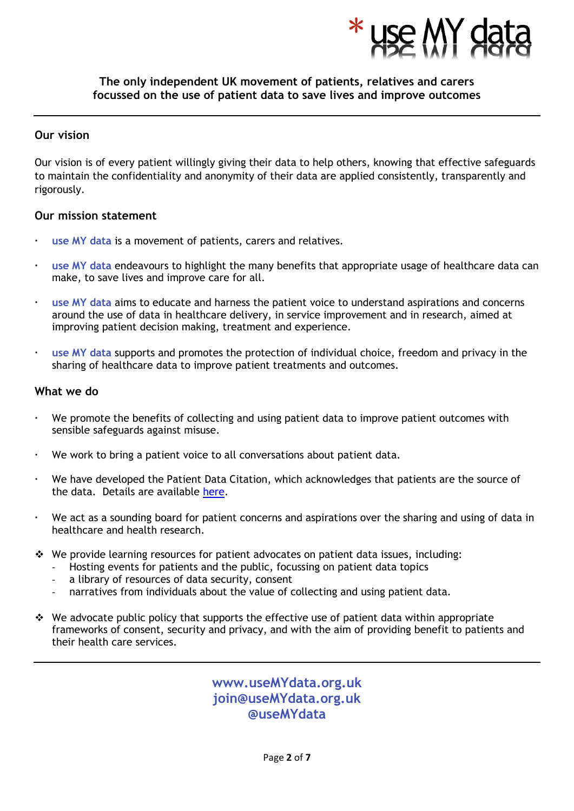

#### **The only independent UK movement of patients, relatives and carers focussed on the use of patient data to save lives and improve outcomes**

#### **Our vision**

Our vision is of every patient willingly giving their data to help others, knowing that effective safeguards to maintain the confidentiality and anonymity of their data are applied consistently, transparently and rigorously.

#### **Our mission statement**

- **use MY data** is a movement of patients, carers and relatives.
- **use MY data** endeavours to highlight the many benefits that appropriate usage of healthcare data can make, to save lives and improve care for all.
- **use MY data** aims to educate and harness the patient voice to understand aspirations and concerns around the use of data in healthcare delivery, in service improvement and in research, aimed at improving patient decision making, treatment and experience.
- **use MY data** supports and promotes the protection of individual choice, freedom and privacy in the sharing of healthcare data to improve patient treatments and outcomes.

#### **What we do**

- We promote the benefits of collecting and using patient data to improve patient outcomes with sensible safeguards against misuse.
- We work to bring a patient voice to all conversations about patient data.
- We have developed the Patient Data Citation, which acknowledges that patients are the source of the data. Details are available [here.](http://www.usemydata.org/citation.php)
- We act as a sounding board for patient concerns and aspirations over the sharing and using of data in healthcare and health research.
- ❖ We provide learning resources for patient advocates on patient data issues, including:
	- Hosting events for patients and the public, focussing on patient data topics
	- a library of resources of data security, consent
	- narratives from individuals about the value of collecting and using patient data.
- ❖ We advocate public policy that supports the effective use of patient data within appropriate frameworks of consent, security and privacy, and with the aim of providing benefit to patients and their health care services.

**www.useMYdata.org.uk join@useMYdata.org.uk @useMYdata**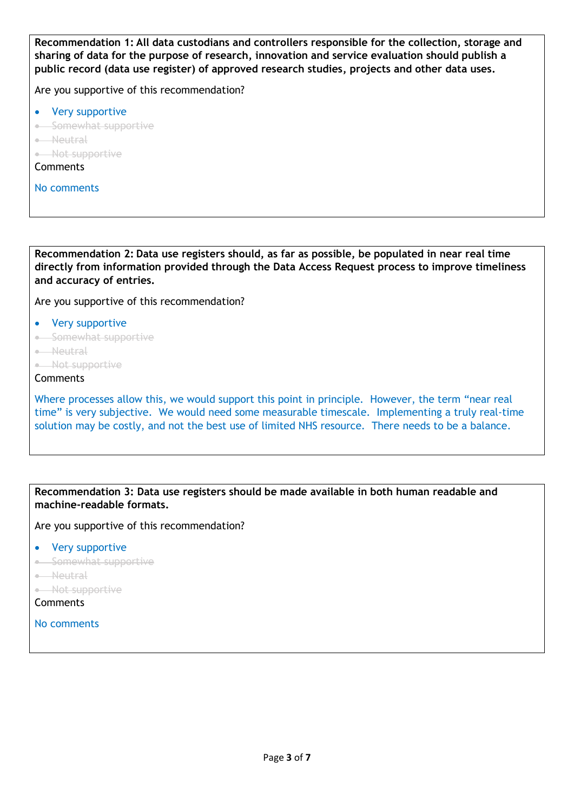**Recommendation 1: All data custodians and controllers responsible for the collection, storage and sharing of data for the purpose of research, innovation and service evaluation should publish a public record (data use register) of approved research studies, projects and other data uses.** 

Are you supportive of this recommendation?

- Very supportive
- Somewhat supportive
- Neutral
- Not supportive
- **Comments**
- No comments

**Recommendation 2: Data use registers should, as far as possible, be populated in near real time directly from information provided through the Data Access Request process to improve timeliness and accuracy of entries.** 

Are you supportive of this recommendation?

- Very supportive
- Somewhat supportive
- Neutral
- Not supportive

#### Comments

Where processes allow this, we would support this point in principle. However, the term "near real time" is very subjective. We would need some measurable timescale. Implementing a truly real-time solution may be costly, and not the best use of limited NHS resource. There needs to be a balance.

**Recommendation 3: Data use registers should be made available in both human readable and machine-readable formats.** 

Are you supportive of this recommendation?

- Very supportive
- Somewhat supportive
- Neutral
- Not supportive
- Comments

No comments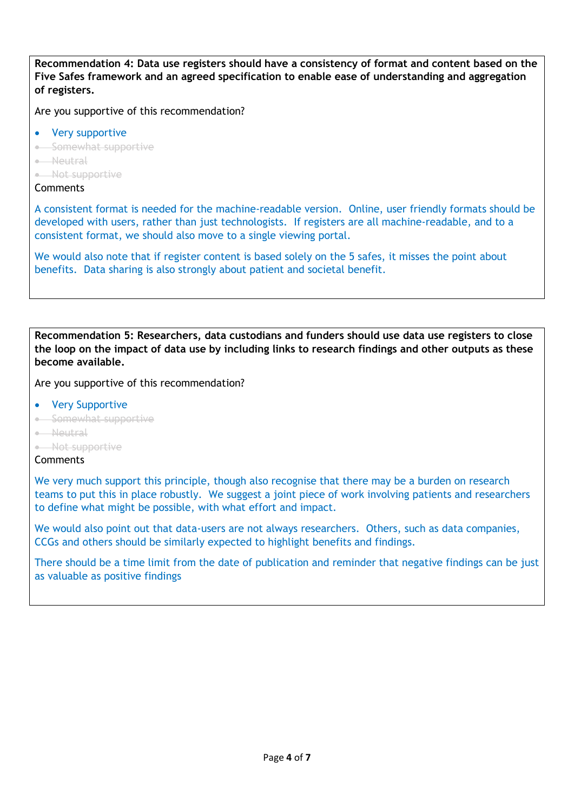**Recommendation 4: Data use registers should have a consistency of format and content based on the Five Safes framework and an agreed specification to enable ease of understanding and aggregation of registers.**

Are you supportive of this recommendation?

- Very supportive
- Somewhat supportive
- Neutral
- Not supportive

#### **Comments**

A consistent format is needed for the machine-readable version. Online, user friendly formats should be developed with users, rather than just technologists. If registers are all machine-readable, and to a consistent format, we should also move to a single viewing portal.

We would also note that if register content is based solely on the 5 safes, it misses the point about benefits. Data sharing is also strongly about patient and societal benefit.

**Recommendation 5: Researchers, data custodians and funders should use data use registers to close the loop on the impact of data use by including links to research findings and other outputs as these become available.** 

Are you supportive of this recommendation?

- **Very Supportive**
- Somewhat supportive
- Neutral
- Not supportive

#### **Comments**

We very much support this principle, though also recognise that there may be a burden on research teams to put this in place robustly. We suggest a joint piece of work involving patients and researchers to define what might be possible, with what effort and impact.

We would also point out that data-users are not always researchers. Others, such as data companies, CCGs and others should be similarly expected to highlight benefits and findings.

There should be a time limit from the date of publication and reminder that negative findings can be just as valuable as positive findings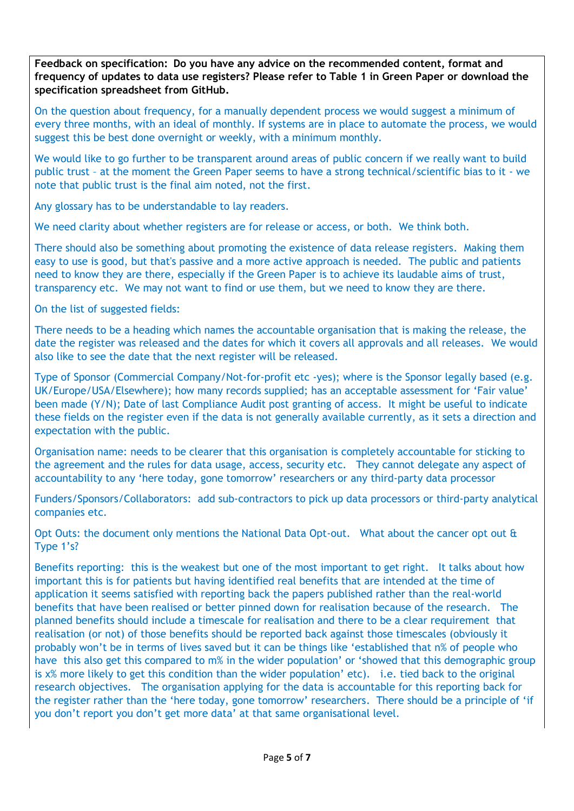**Feedback on specification: Do you have any advice on the recommended content, format and frequency of updates to data use registers? Please refer to Table 1 in Green Paper or download the specification spreadsheet from GitHub.**

On the question about frequency, for a manually dependent process we would suggest a minimum of every three months, with an ideal of monthly. If systems are in place to automate the process, we would suggest this be best done overnight or weekly, with a minimum monthly.

We would like to go further to be transparent around areas of public concern if we really want to build public trust – at the moment the Green Paper seems to have a strong technical/scientific bias to it - we note that public trust is the final aim noted, not the first.

Any glossary has to be understandable to lay readers.

We need clarity about whether registers are for release or access, or both. We think both.

There should also be something about promoting the existence of data release registers. Making them easy to use is good, but that's passive and a more active approach is needed. The public and patients need to know they are there, especially if the Green Paper is to achieve its laudable aims of trust, transparency etc. We may not want to find or use them, but we need to know they are there.

On the list of suggested fields:

There needs to be a heading which names the accountable organisation that is making the release, the date the register was released and the dates for which it covers all approvals and all releases. We would also like to see the date that the next register will be released.

Type of Sponsor (Commercial Company/Not-for-profit etc -yes); where is the Sponsor legally based (e.g. UK/Europe/USA/Elsewhere); how many records supplied; has an acceptable assessment for 'Fair value' been made (Y/N); Date of last Compliance Audit post granting of access. It might be useful to indicate these fields on the register even if the data is not generally available currently, as it sets a direction and expectation with the public.

Organisation name: needs to be clearer that this organisation is completely accountable for sticking to the agreement and the rules for data usage, access, security etc. They cannot delegate any aspect of accountability to any 'here today, gone tomorrow' researchers or any third-party data processor

Funders/Sponsors/Collaborators: add sub-contractors to pick up data processors or third-party analytical companies etc.

Opt Outs: the document only mentions the National Data Opt-out. What about the cancer opt out & Type 1's?

Benefits reporting: this is the weakest but one of the most important to get right. It talks about how important this is for patients but having identified real benefits that are intended at the time of application it seems satisfied with reporting back the papers published rather than the real-world benefits that have been realised or better pinned down for realisation because of the research. The planned benefits should include a timescale for realisation and there to be a clear requirement that realisation (or not) of those benefits should be reported back against those timescales (obviously it probably won't be in terms of lives saved but it can be things like 'established that n% of people who have this also get this compared to m% in the wider population' or 'showed that this demographic group is x% more likely to get this condition than the wider population' etc). i.e. tied back to the original research objectives. The organisation applying for the data is accountable for this reporting back for the register rather than the 'here today, gone tomorrow' researchers. There should be a principle of 'if you don't report you don't get more data' at that same organisational level.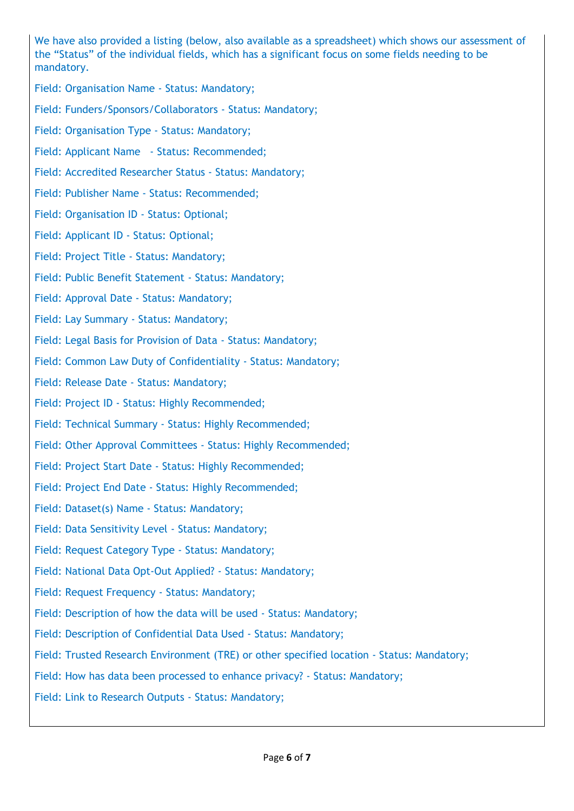We have also provided a listing (below, also available as a spreadsheet) which shows our assessment of the "Status" of the individual fields, which has a significant focus on some fields needing to be mandatory.

Field: Organisation Name - Status: Mandatory;

Field: Funders/Sponsors/Collaborators - Status: Mandatory;

Field: Organisation Type - Status: Mandatory;

Field: Applicant Name - Status: Recommended;

Field: Accredited Researcher Status - Status: Mandatory;

Field: Publisher Name - Status: Recommended;

Field: Organisation ID - Status: Optional;

Field: Applicant ID - Status: Optional;

Field: Project Title - Status: Mandatory;

Field: Public Benefit Statement - Status: Mandatory;

Field: Approval Date - Status: Mandatory;

Field: Lay Summary - Status: Mandatory;

Field: Legal Basis for Provision of Data - Status: Mandatory;

Field: Common Law Duty of Confidentiality - Status: Mandatory;

Field: Release Date - Status: Mandatory;

Field: Project ID - Status: Highly Recommended;

Field: Technical Summary - Status: Highly Recommended;

Field: Other Approval Committees - Status: Highly Recommended;

Field: Project Start Date - Status: Highly Recommended;

Field: Project End Date - Status: Highly Recommended;

Field: Dataset(s) Name - Status: Mandatory;

Field: Data Sensitivity Level - Status: Mandatory;

Field: Request Category Type - Status: Mandatory;

Field: National Data Opt-Out Applied? - Status: Mandatory;

Field: Request Frequency - Status: Mandatory;

Field: Description of how the data will be used - Status: Mandatory;

Field: Description of Confidential Data Used - Status: Mandatory;

Field: Trusted Research Environment (TRE) or other specified location - Status: Mandatory;

Field: How has data been processed to enhance privacy? - Status: Mandatory;

Field: Link to Research Outputs - Status: Mandatory;